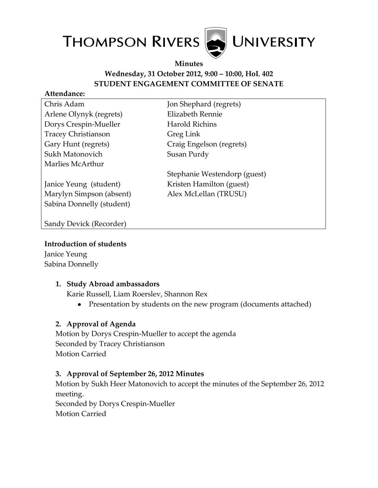

### **Minutes Wednesday, 31 October 2012, 9:00 – 10:00, HoL 402 STUDENT ENGAGEMENT COMMITTEE OF SENATE**

#### **Attendance:**

| Chris Adam                 | Jon Shephard (regrets)       |
|----------------------------|------------------------------|
| Arlene Olynyk (regrets)    | Elizabeth Rennie             |
| Dorys Crespin-Mueller      | Harold Richins               |
| <b>Tracey Christianson</b> | Greg Link                    |
| Gary Hunt (regrets)        | Craig Engelson (regrets)     |
| Sukh Matonovich            | Susan Purdy                  |
| Marlies McArthur           |                              |
|                            | Stephanie Westendorp (guest) |
| Janice Yeung (student)     | Kristen Hamilton (guest)     |
| Marylyn Simpson (absent)   | Alex McLellan (TRUSU)        |
| Sabina Donnelly (student)  |                              |
|                            |                              |
| Sandy Devick (Recorder)    |                              |
|                            |                              |

#### **Introduction of students**

Janice Yeung Sabina Donnelly

### **1. Study Abroad ambassadors**

Karie Russell, Liam Roerslev, Shannon Rex

• Presentation by students on the new program (documents attached)

# **2. Approval of Agenda**

Motion by Dorys Crespin-Mueller to accept the agenda Seconded by Tracey Christianson Motion Carried

### **3. Approval of September 26, 2012 Minutes**

Motion by Sukh Heer Matonovich to accept the minutes of the September 26, 2012 meeting. Seconded by Dorys Crespin-Mueller

Motion Carried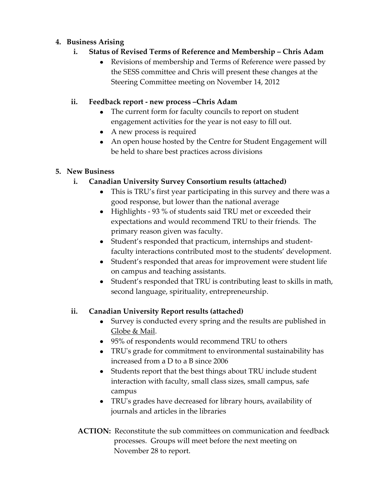## **4. Business Arising**

## **i. Status of Revised Terms of Reference and Membership – Chris Adam**

Revisions of membership and Terms of Reference were passed by the SESS committee and Chris will present these changes at the Steering Committee meeting on November 14, 2012

## **ii. Feedback report - new process –Chris Adam**

- The current form for faculty councils to report on student engagement activities for the year is not easy to fill out.
- A new process is required
- An open house hosted by the Centre for Student Engagement will be held to share best practices across divisions

# **5. New Business**

# **i. Canadian University Survey Consortium results (attached)**

- This is TRU's first year participating in this survey and there was a good response, but lower than the national average
- Highlights 93 % of students said TRU met or exceeded their expectations and would recommend TRU to their friends. The primary reason given was faculty.
- Student's responded that practicum, internships and studentfaculty interactions contributed most to the students' development.
- Student's responded that areas for improvement were student life on campus and teaching assistants.
- Student's responded that TRU is contributing least to skills in math, second language, spirituality, entrepreneurship.

# **ii. Canadian University Report results (attached)**

- Survey is conducted every spring and the results are published in Globe & Mail.
- 95% of respondents would recommend TRU to others
- TRU's grade for commitment to environmental sustainability has increased from a D to a B since 2006
- Students report that the best things about TRU include student interaction with faculty, small class sizes, small campus, safe campus
- TRU's grades have decreased for library hours, availability of journals and articles in the libraries
- **ACTION:** Reconstitute the sub committees on communication and feedback processes. Groups will meet before the next meeting on November 28 to report.